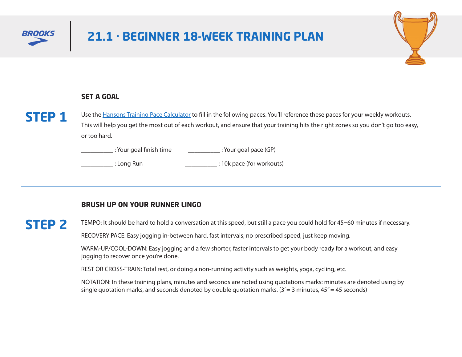



#### **SET A GOAL**



Use the [Hansons Training Pace Calculator](https://lukehumphreyrunning.com/hmmcalculator/race_equivalency_calculator.php) to fill in the following paces. You'll reference these paces for your weekly workouts. This will help you get the most out of each workout, and ensure that your training hits the right zones so you don't go too easy, or too hard.

\_\_\_\_\_\_\_\_\_\_ : Your goal finish time \_\_\_\_\_\_\_\_\_\_ : Your goal pace (GP)

\_\_\_\_\_\_\_\_\_\_ : Long Run \_\_\_\_\_\_\_\_\_\_ : 10k pace (for workouts)

#### **BRUSH UP ON YOUR RUNNER LINGO**

# **STEP 2**

TEMPO: It should be hard to hold a conversation at this speed, but still a pace you could hold for 45–60 minutes if necessary.

RECOVERY PACE: Easy jogging in-between hard, fast intervals; no prescribed speed, just keep moving.

WARM-UP/COOL-DOWN: Easy jogging and a few shorter, faster intervals to get your body ready for a workout, and easy jogging to recover once you're done.

REST OR CROSS-TRAIN: Total rest, or doing a non-running activity such as weights, yoga, cycling, etc.

NOTATION: In these training plans, minutes and seconds are noted using quotations marks: minutes are denoted using by single quotation marks, and seconds denoted by double quotation marks.  $(3' = 3$  minutes,  $45'' = 45$  seconds)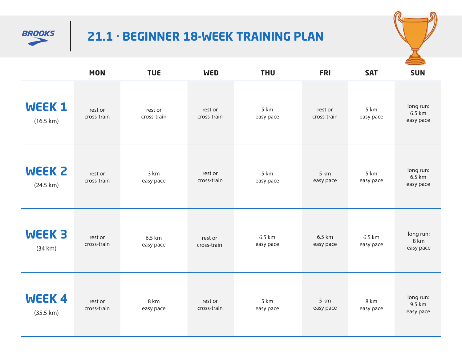



|                                      | <b>MON</b>             | <b>TUE</b>             | <b>WED</b>             | <b>THU</b>          | <b>FRI</b>             | <b>SAT</b>          | <b>SUN</b>                       |
|--------------------------------------|------------------------|------------------------|------------------------|---------------------|------------------------|---------------------|----------------------------------|
| <b>WEEK1</b><br>$(16.5 \text{ km})$  | rest or<br>cross-train | rest or<br>cross-train | rest or<br>cross-train | 5 km<br>easy pace   | rest or<br>cross-train | 5 km<br>easy pace   | long run:<br>6.5 km<br>easy pace |
| <b>WEEK 2</b><br>$(24.5 \text{ km})$ | rest or<br>cross-train | 3 km<br>easy pace      | rest or<br>cross-train | 5 km<br>easy pace   | 5 km<br>easy pace      | 5 km<br>easy pace   | long run:<br>6.5 km<br>easy pace |
| <b>WEEK 3</b><br>(34 km)             | rest or<br>cross-train | 6.5 km<br>easy pace    | rest or<br>cross-train | 6.5 km<br>easy pace | 6.5 km<br>easy pace    | 6.5 km<br>easy pace | long run:<br>8 km<br>easy pace   |
| WEEK4<br>$(35.5 \text{ km})$         | rest or<br>cross-train | 8 km<br>easy pace      | rest or<br>cross-train | 5 km<br>easy pace   | 5 km<br>easy pace      | 8 km<br>easy pace   | long run:<br>9.5 km<br>easy pace |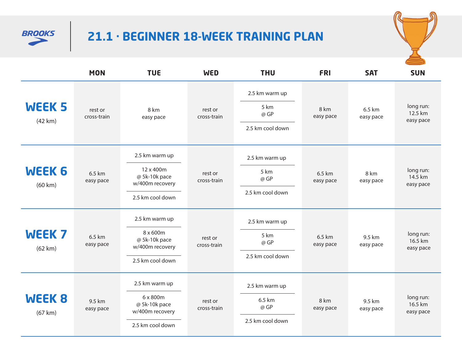



|                              | <b>MON</b>             | <b>TUE</b>                                                                          | <b>WED</b>             | <b>THU</b>                                           | <b>FRI</b>          | <b>SAT</b>          | <b>SUN</b>                        |
|------------------------------|------------------------|-------------------------------------------------------------------------------------|------------------------|------------------------------------------------------|---------------------|---------------------|-----------------------------------|
| WEEK <sub>5</sub><br>(42 km) | rest or<br>cross-train | 8 km<br>easy pace                                                                   | rest or<br>cross-train | 2.5 km warm up<br>5 km<br>@ GP<br>2.5 km cool down   | 8 km<br>easy pace   | 6.5 km<br>easy pace | long run:<br>12.5 km<br>easy pace |
| <b>WEEK 6</b><br>(60 km)     | 6.5 km<br>easy pace    | 2.5 km warm up<br>12 x 400m<br>@ 5k-10k pace<br>w/400m recovery<br>2.5 km cool down | rest or<br>cross-train | 2.5 km warm up<br>5 km<br>@ GP<br>2.5 km cool down   | 6.5 km<br>easy pace | 8 km<br>easy pace   | long run:<br>14.5 km<br>easy pace |
| WEEK <sub>7</sub><br>(62 km) | 6.5 km<br>easy pace    | 2.5 km warm up<br>8 x 600m<br>@ 5k-10k pace<br>w/400m recovery<br>2.5 km cool down  | rest or<br>cross-train | 2.5 km warm up<br>5 km<br>@ GP<br>2.5 km cool down   | 6.5 km<br>easy pace | 9.5 km<br>easy pace | long run:<br>16.5 km<br>easy pace |
| <b>WEEK 8</b><br>(67 km)     | 9.5 km<br>easy pace    | 2.5 km warm up<br>6 x 800m<br>@ 5k-10k pace<br>w/400m recovery<br>2.5 km cool down  | rest or<br>cross-train | 2.5 km warm up<br>6.5 km<br>@ GP<br>2.5 km cool down | 8 km<br>easy pace   | 9.5 km<br>easy pace | long run:<br>16.5 km<br>easy pace |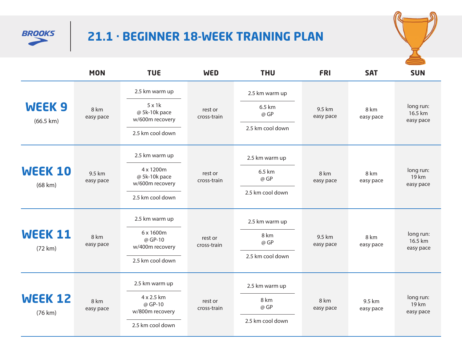



|                                          | <b>MON</b>          | <b>TUE</b>                                       | <b>WED</b>             | <b>THU</b>       | <b>FRI</b>          | <b>SAT</b>          | <b>SUN</b>                        |
|------------------------------------------|---------------------|--------------------------------------------------|------------------------|------------------|---------------------|---------------------|-----------------------------------|
|                                          |                     | 2.5 km warm up                                   |                        | 2.5 km warm up   |                     |                     |                                   |
| WEEK <sub>9</sub><br>$(66.5 \text{ km})$ | 8 km<br>easy pace   | $5 \times 1$<br>@ 5k-10k pace<br>w/600m recovery | rest or<br>cross-train | 6.5 km<br>@ GP   | 9.5 km<br>easy pace | 8 km<br>easy pace   | long run:<br>16.5 km<br>easy pace |
|                                          |                     | 2.5 km cool down                                 |                        | 2.5 km cool down |                     |                     |                                   |
|                                          |                     | 2.5 km warm up                                   |                        | 2.5 km warm up   |                     |                     |                                   |
| <b>WEEK 10</b><br>(68 km)                | 9.5 km<br>easy pace | 4 x 1200m<br>@ 5k-10k pace<br>w/600m recovery    | rest or<br>cross-train | 6.5 km<br>@ GP   | 8 km<br>easy pace   | 8 km<br>easy pace   | long run:<br>19 km<br>easy pace   |
|                                          |                     | 2.5 km cool down                                 |                        | 2.5 km cool down |                     |                     |                                   |
|                                          |                     | 2.5 km warm up                                   |                        | 2.5 km warm up   |                     |                     |                                   |
| <b>WEEK 11</b><br>(72 km)                | 8 km<br>easy pace   | 6 x 1600m<br>@ GP-10<br>w/400m recovery          | rest or<br>cross-train | 8 km<br>@ GP     | 9.5 km<br>easy pace | 8 km<br>easy pace   | long run:<br>16.5 km<br>easy pace |
|                                          |                     | 2.5 km cool down                                 |                        | 2.5 km cool down |                     |                     |                                   |
|                                          |                     | 2.5 km warm up                                   |                        | 2.5 km warm up   |                     |                     |                                   |
| <b>WEEK 12</b><br>(76 km)                | 8 km<br>easy pace   | 4 x 2.5 km<br>@ GP-10<br>w/800m recovery         | rest or<br>cross-train | 8 km<br>@ GP     | 8 km<br>easy pace   | 9.5 km<br>easy pace | long run:<br>19 km<br>easy pace   |
|                                          |                     | 2.5 km cool down                                 |                        | 2.5 km cool down |                     |                     |                                   |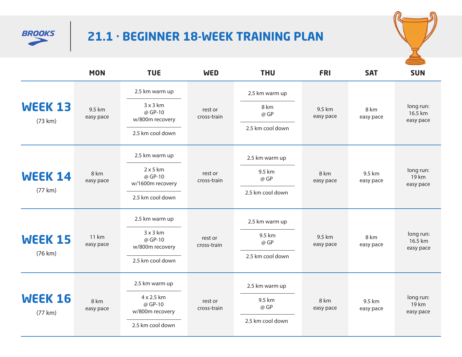



|                           | <b>MON</b>          | <b>TUE</b>                                     | <b>WED</b>             | <b>THU</b>       | <b>FRI</b>          | <b>SAT</b>          | <b>SUN</b>                        |
|---------------------------|---------------------|------------------------------------------------|------------------------|------------------|---------------------|---------------------|-----------------------------------|
|                           |                     | 2.5 km warm up                                 |                        | 2.5 km warm up   |                     |                     |                                   |
| WEEK 13<br>(73 km)        | 9.5 km<br>easy pace | 3x3km<br>@ GP-10<br>w/800m recovery            | rest or<br>cross-train | 8 km<br>@ GP     | 9.5 km<br>easy pace | 8 km<br>easy pace   | long run:<br>16.5 km<br>easy pace |
|                           |                     | 2.5 km cool down                               |                        | 2.5 km cool down |                     |                     |                                   |
|                           |                     | 2.5 km warm up                                 |                        | 2.5 km warm up   |                     |                     |                                   |
| <b>WEEK 14</b>            | 8 km<br>easy pace   | $2 \times 5$ km<br>@ GP-10<br>w/1600m recovery | rest or<br>cross-train | 9.5 km<br>@ GP   | 8 km<br>easy pace   | 9.5 km<br>easy pace | long run:<br>19 km<br>easy pace   |
| (77 km)                   |                     | 2.5 km cool down                               |                        | 2.5 km cool down |                     |                     |                                   |
|                           | 11 km<br>easy pace  | 2.5 km warm up                                 | rest or<br>cross-train | 2.5 km warm up   |                     | 8 km<br>easy pace   | long run:<br>16.5 km<br>easy pace |
| <b>WEEK 15</b><br>(76 km) |                     | 3x3km<br>@ GP-10<br>w/800m recovery            |                        | 9.5 km<br>@ GP   | 9.5 km<br>easy pace |                     |                                   |
|                           |                     | 2.5 km cool down                               |                        | 2.5 km cool down |                     |                     |                                   |
|                           |                     | 2.5 km warm up                                 |                        | 2.5 km warm up   |                     |                     |                                   |
| <b>WEEK 16</b><br>(77 km) | 8 km<br>easy pace   | 4 x 2.5 km<br>@ GP-10<br>w/800m recovery       | rest or<br>cross-train | 9.5 km<br>@ GP   | 8 km<br>easy pace   | 9.5 km<br>easy pace | long run:<br>19 km<br>easy pace   |
|                           |                     | 2.5 km cool down                               |                        | 2.5 km cool down |                     |                     |                                   |